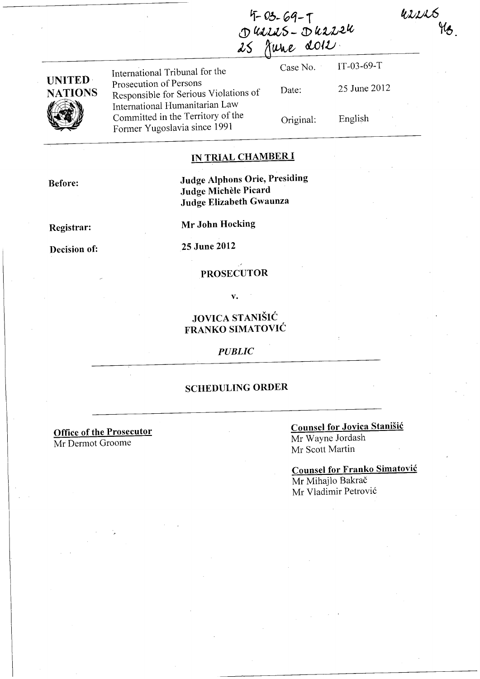usses Me

| $4 - 03 - 69 - 1$ |  |
|-------------------|--|
| Duries-Durieu     |  |
| 25 June 2012      |  |

| <b>UNITED</b>  |  |
|----------------|--|
| <b>NATIONS</b> |  |
|                |  |

International Tribunal for the Case No. Prosecution of Persons Responsible for Serious Violations of Date: International Humanitarian Law Committed in the Territory of the Original:<br>Former Yugoslavia since 1991

IT-03-69-T 25 June 2012

English

#### **IN TRIAL CHAMBER I**

**Before:** 

**Judge Alphons Orie, Presiding Judge Michele Picard Judge Elizabeth Gwaunza** 

**Registrar:** 

**Mr John Hocking** 

**Decision of:** 

**25 June 2012** 

#### **PROSECUTOR**

**v.** 

## **JOVICA STANIŠIĆ FRANKO SIMATOVIC**

*PUBLIC* 

### **SCHEDULING ORDER**

**Office of the Prosecutor**  Mr Dermot Groome

# **Counsel for Jovica Stanisic**

Mr Wayne Jordash Mr Scott Martin

**Counsel for Franko Simatovic**  Mr Mihajlo Bakrač Mr Vladimir Petrovi6